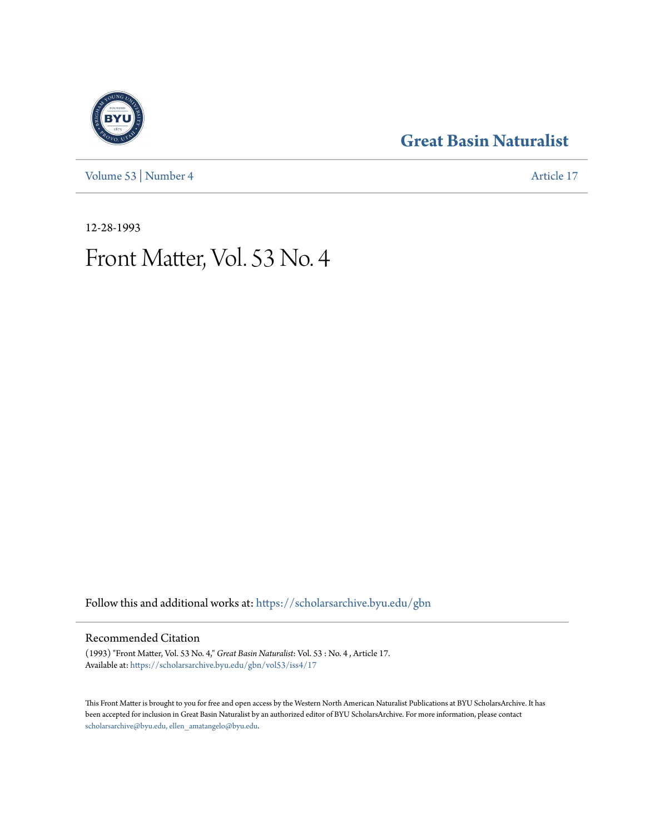[Volume 53](https://scholarsarchive.byu.edu/gbn/vol53?utm_source=scholarsarchive.byu.edu%2Fgbn%2Fvol53%2Fiss4%2F17&utm_medium=PDF&utm_campaign=PDFCoverPages) | [Number 4](https://scholarsarchive.byu.edu/gbn/vol53/iss4?utm_source=scholarsarchive.byu.edu%2Fgbn%2Fvol53%2Fiss4%2F17&utm_medium=PDF&utm_campaign=PDFCoverPages) [Article 17](https://scholarsarchive.byu.edu/gbn/vol53/iss4/17?utm_source=scholarsarchive.byu.edu%2Fgbn%2Fvol53%2Fiss4%2F17&utm_medium=PDF&utm_campaign=PDFCoverPages)

### **[Great Basin Naturalist](https://scholarsarchive.byu.edu/gbn?utm_source=scholarsarchive.byu.edu%2Fgbn%2Fvol53%2Fiss4%2F17&utm_medium=PDF&utm_campaign=PDFCoverPages)**

12-28-1993

## Front Matter, Vol. 53 No. 4

Follow this and additional works at: [https://scholarsarchive.byu.edu/gbn](https://scholarsarchive.byu.edu/gbn?utm_source=scholarsarchive.byu.edu%2Fgbn%2Fvol53%2Fiss4%2F17&utm_medium=PDF&utm_campaign=PDFCoverPages)

### Recommended Citation

(1993) "Front Matter, Vol. 53 No. 4," *Great Basin Naturalist*: Vol. 53 : No. 4 , Article 17. Available at: [https://scholarsarchive.byu.edu/gbn/vol53/iss4/17](https://scholarsarchive.byu.edu/gbn/vol53/iss4/17?utm_source=scholarsarchive.byu.edu%2Fgbn%2Fvol53%2Fiss4%2F17&utm_medium=PDF&utm_campaign=PDFCoverPages)

This Front Matter is brought to you for free and open access by the Western North American Naturalist Publications at BYU ScholarsArchive. It has been accepted for inclusion in Great Basin Naturalist by an authorized editor of BYU ScholarsArchive. For more information, please contact [scholarsarchive@byu.edu, ellen\\_amatangelo@byu.edu.](mailto:scholarsarchive@byu.edu,%20ellen_amatangelo@byu.edu)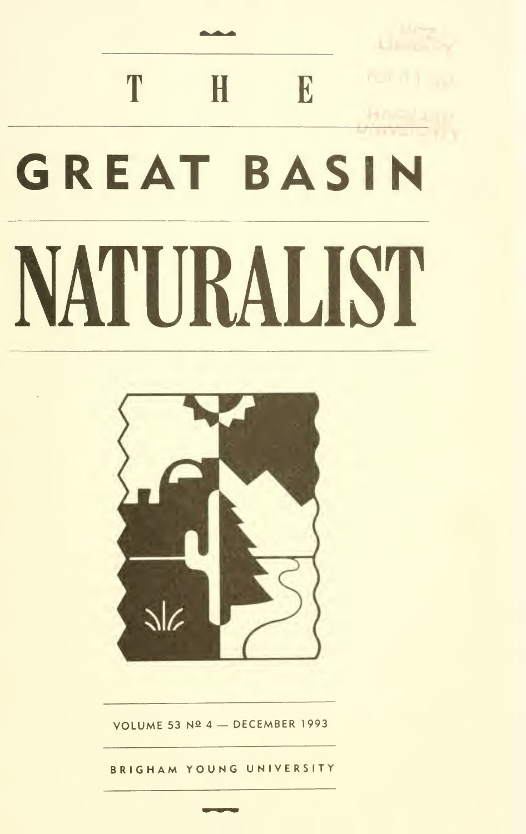# T  $\mathbf H$  $E$ **GREAT BASIN** NATURALIST



VOLUME 53 Nº 4 - DECEMBER 1993

BRIGHAM YOUNG UNIVERSITY